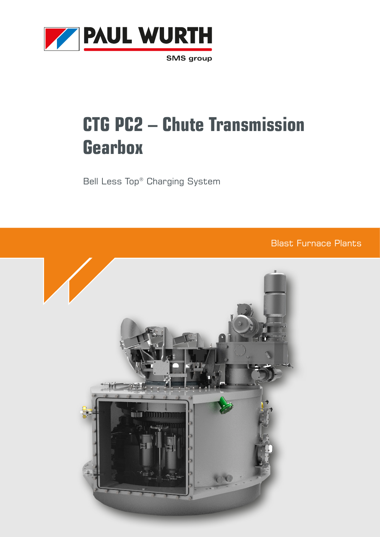

**SMS** group

# **CTG PC2 – Chute Transmission Gearbox**

Bell Less Top® Charging System

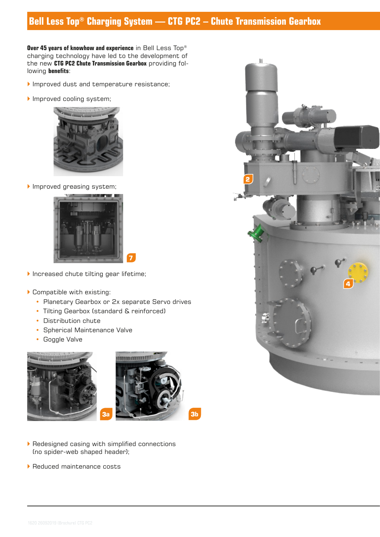## **Bell Less Top® Charging System — CTG PC2 – Chute Transmission Gearbox**

**Over 45 years of knowhow and experience** in Bell Less Top® charging technology have led to the development of the new **CTG PC2 Chute Transmission Gearbox** providing following **benefits**:

- Improved dust and temperature resistance;
- Improved cooling system;



Improved greasing system;



- ` Increased chute tilting gear lifetime;
- ` Compatible with existing:
	- Planetary Gearbox or 2x separate Servo drives
	- Tilting Gearbox (standard & reinforced)
	- Distribution chute
	- Spherical Maintenance Valve
	- Goggle Valve



- $\blacktriangleright$  Redesigned casing with simplified connections (no spider-web shaped header);
- ▶ Reduced maintenance costs

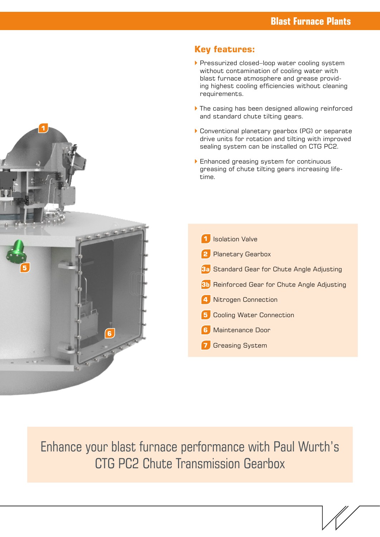

- ▶ Pressurized closed–loop water cooling system without contamination of cooling water with blast furnace atmosphere and grease providing highest cooling efficiencies without cleaning requirements.
- $\blacktriangleright$  The casing has been designed allowing reinforced and standard chute tilting gears.
- ` Conventional planetary gearbox (PG) or separate drive units for rotation and tilting with improved sealing system can be installed on CTG PC2.
- **Enhanced greasing system for continuous** greasing of chute tilting gears increasing lifetime.
	- **1** Isolation Valve **2** Planetary Gearbox **3a** Standard Gear for Chute Angle Adjusting **3b** Reinforced Gear for Chute Angle Adjusting **4** Nitrogen Connection **5** Cooling Water Connection **6** Maintenance Door **7** Greasing System

Enhance your blast furnace performance with Paul Wurth's CTG PC2 Chute Transmission Gearbox